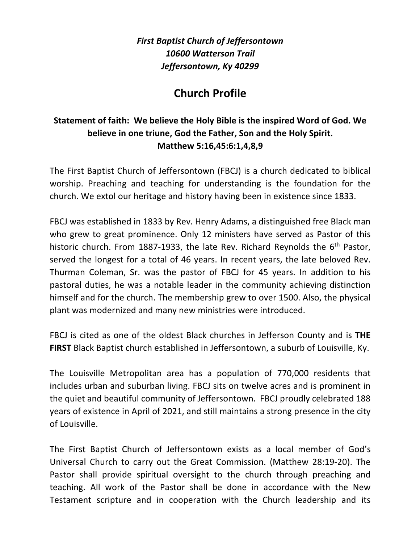*First Baptist Church of Jeffersontown 10600 Watterson Trail Jeffersontown, Ky 40299*

## **Church Profile**

## **Statement of faith: We believe the Holy Bible is the inspired Word of God. We believe in one triune, God the Father, Son and the Holy Spirit. Matthew 5:16,45:6:1,4,8,9**

The First Baptist Church of Jeffersontown (FBCJ) is a church dedicated to biblical worship. Preaching and teaching for understanding is the foundation for the church. We extol our heritage and history having been in existence since 1833.

FBCJ was established in 1833 by Rev. Henry Adams, a distinguished free Black man who grew to great prominence. Only 12 ministers have served as Pastor of this historic church. From 1887-1933, the late Rev. Richard Reynolds the  $6<sup>th</sup>$  Pastor, served the longest for a total of 46 years. In recent years, the late beloved Rev. Thurman Coleman, Sr. was the pastor of FBCJ for 45 years. In addition to his pastoral duties, he was a notable leader in the community achieving distinction himself and for the church. The membership grew to over 1500. Also, the physical plant was modernized and many new ministries were introduced.

FBCJ is cited as one of the oldest Black churches in Jefferson County and is **THE FIRST** Black Baptist church established in Jeffersontown, a suburb of Louisville, Ky.

The Louisville Metropolitan area has a population of 770,000 residents that includes urban and suburban living. FBCJ sits on twelve acres and is prominent in the quiet and beautiful community of Jeffersontown. FBCJ proudly celebrated 188 years of existence in April of 2021, and still maintains a strong presence in the city of Louisville.

The First Baptist Church of Jeffersontown exists as a local member of God's Universal Church to carry out the Great Commission. (Matthew 28:19-20). The Pastor shall provide spiritual oversight to the church through preaching and teaching. All work of the Pastor shall be done in accordance with the New Testament scripture and in cooperation with the Church leadership and its